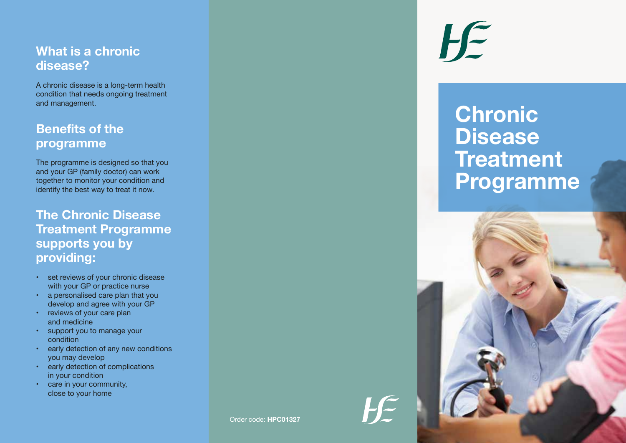### **What is a chronic disease?**

A chronic disease is a long-term health condition that needs ongoing treatment and management.

# **Benefits of the programme**

The programme is designed so that you and your GP (family doctor) can work together to monitor your condition and identify the best way to treat it now.

**The Chronic Disease Treatment Programme supports you by providing:**

- set reviews of your chronic disease with your GP or practice nurse
- a personalised care plan that you develop and agree with your GP
- reviews of your care plan and medicine
- support you to manage your condition
- early detection of any new conditions you may develop
- early detection of complications in your condition
- care in your community, close to your home

 $H \in$ 

# **Chronic Disease Treatment Programme**



 $H \in$ 

Order code: **HPC01327**